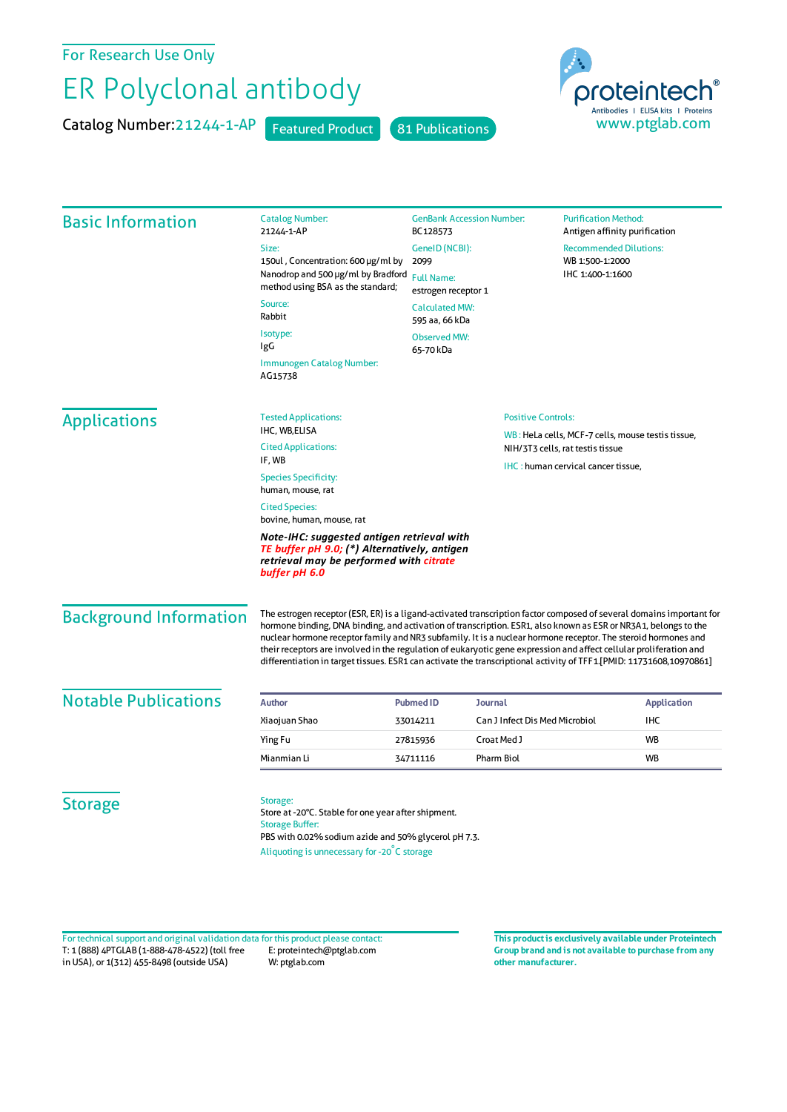For Research Use Only

## ER Polyclonal antibody

Catalog Number: 21244-1-AP Featured Product 81 Publications





| <b>Basic Information</b>      | <b>Catalog Number:</b><br>21244-1-AP                                                                                                                                                                                                                                                                                                                                                                                                                                                                                                                                                                  | <b>GenBank Accession Number:</b><br>BC128573                                                                            |                                                   | <b>Purification Method:</b><br>Antigen affinity purification |                                  |  |
|-------------------------------|-------------------------------------------------------------------------------------------------------------------------------------------------------------------------------------------------------------------------------------------------------------------------------------------------------------------------------------------------------------------------------------------------------------------------------------------------------------------------------------------------------------------------------------------------------------------------------------------------------|-------------------------------------------------------------------------------------------------------------------------|---------------------------------------------------|--------------------------------------------------------------|----------------------------------|--|
|                               | Size:                                                                                                                                                                                                                                                                                                                                                                                                                                                                                                                                                                                                 | GeneID (NCBI):                                                                                                          |                                                   | <b>Recommended Dilutions:</b>                                |                                  |  |
|                               | 150ul, Concentration: 600 µg/ml by                                                                                                                                                                                                                                                                                                                                                                                                                                                                                                                                                                    | 2099                                                                                                                    |                                                   | WB 1:500-1:2000                                              |                                  |  |
|                               | Nanodrop and 500 µg/ml by Bradford<br>method using BSA as the standard;                                                                                                                                                                                                                                                                                                                                                                                                                                                                                                                               | <b>Full Name:</b><br>estrogen receptor 1<br><b>Calculated MW:</b><br>595 aa, 66 kDa<br><b>Observed MW:</b><br>65-70 kDa |                                                   | IHC 1:400-1:1600                                             |                                  |  |
|                               | Source:<br>Rabbit                                                                                                                                                                                                                                                                                                                                                                                                                                                                                                                                                                                     |                                                                                                                         |                                                   |                                                              |                                  |  |
|                               | Isotype:<br>IgG                                                                                                                                                                                                                                                                                                                                                                                                                                                                                                                                                                                       |                                                                                                                         |                                                   |                                                              |                                  |  |
|                               | Immunogen Catalog Number:<br>AG15738                                                                                                                                                                                                                                                                                                                                                                                                                                                                                                                                                                  |                                                                                                                         |                                                   |                                                              |                                  |  |
| <b>Applications</b>           | <b>Tested Applications:</b>                                                                                                                                                                                                                                                                                                                                                                                                                                                                                                                                                                           |                                                                                                                         | <b>Positive Controls:</b>                         |                                                              |                                  |  |
|                               | IHC, WB,ELISA                                                                                                                                                                                                                                                                                                                                                                                                                                                                                                                                                                                         |                                                                                                                         | WB: HeLa cells, MCF-7 cells, mouse testis tissue, |                                                              |                                  |  |
|                               | <b>Cited Applications:</b><br>IF, WB                                                                                                                                                                                                                                                                                                                                                                                                                                                                                                                                                                  |                                                                                                                         |                                                   |                                                              | NIH/3T3 cells, rat testis tissue |  |
|                               | <b>Species Specificity:</b><br>human, mouse, rat                                                                                                                                                                                                                                                                                                                                                                                                                                                                                                                                                      | IHC: human cervical cancer tissue,                                                                                      |                                                   |                                                              |                                  |  |
|                               | <b>Cited Species:</b><br>bovine, human, mouse, rat                                                                                                                                                                                                                                                                                                                                                                                                                                                                                                                                                    |                                                                                                                         |                                                   |                                                              |                                  |  |
|                               | Note-IHC: suggested antigen retrieval with<br>TE buffer pH 9.0; (*) Alternatively, antigen<br>retrieval may be performed with citrate<br>buffer pH 6.0                                                                                                                                                                                                                                                                                                                                                                                                                                                |                                                                                                                         |                                                   |                                                              |                                  |  |
| <b>Background Information</b> | The estrogen receptor (ESR, ER) is a ligand-activated transcription factor composed of several domains important for<br>hormone binding, DNA binding, and activation of transcription. ESR1, also known as ESR or NR3A1, belongs to the<br>nuclear hormone receptor family and NR3 subfamily. It is a nuclear hormone receptor. The steroid hormones and<br>their receptors are involved in the regulation of eukaryotic gene expression and affect cellular proliferation and<br>differentiation in target tissues. ESR1 can activate the transcriptional activity of TFF1.[PMID: 11731608,10970861] |                                                                                                                         |                                                   |                                                              |                                  |  |
| <b>Notable Publications</b>   | <b>Author</b>                                                                                                                                                                                                                                                                                                                                                                                                                                                                                                                                                                                         | <b>Pubmed ID</b>                                                                                                        | <b>Journal</b>                                    |                                                              | <b>Application</b>               |  |
|                               | Xiaojuan Shao                                                                                                                                                                                                                                                                                                                                                                                                                                                                                                                                                                                         | 33014211                                                                                                                | Can J Infect Dis Med Microbiol                    |                                                              | IHC                              |  |
|                               | Ying Fu                                                                                                                                                                                                                                                                                                                                                                                                                                                                                                                                                                                               | 27815936                                                                                                                | Croat Med J                                       |                                                              | <b>WB</b>                        |  |
|                               | Mianmian Li                                                                                                                                                                                                                                                                                                                                                                                                                                                                                                                                                                                           | 34711116                                                                                                                | Pharm Biol                                        |                                                              | WB                               |  |
| <b>Storage</b>                | Storage:<br>Store at -20°C. Stable for one year after shipment.<br><b>Storage Buffer:</b><br>PBS with 0.02% sodium azide and 50% glycerol pH 7.3.<br>Aliquoting is unnecessary for -20°C storage                                                                                                                                                                                                                                                                                                                                                                                                      |                                                                                                                         |                                                   |                                                              |                                  |  |

T: 1 (888) 4PTGLAB (1-888-478-4522) (toll free in USA), or 1(312) 455-8498 (outside USA) E: proteintech@ptglab.com W: ptglab.com Fortechnical support and original validation data forthis product please contact: **This productis exclusively available under Proteintech**

**Group brand and is not available to purchase from any other manufacturer.**